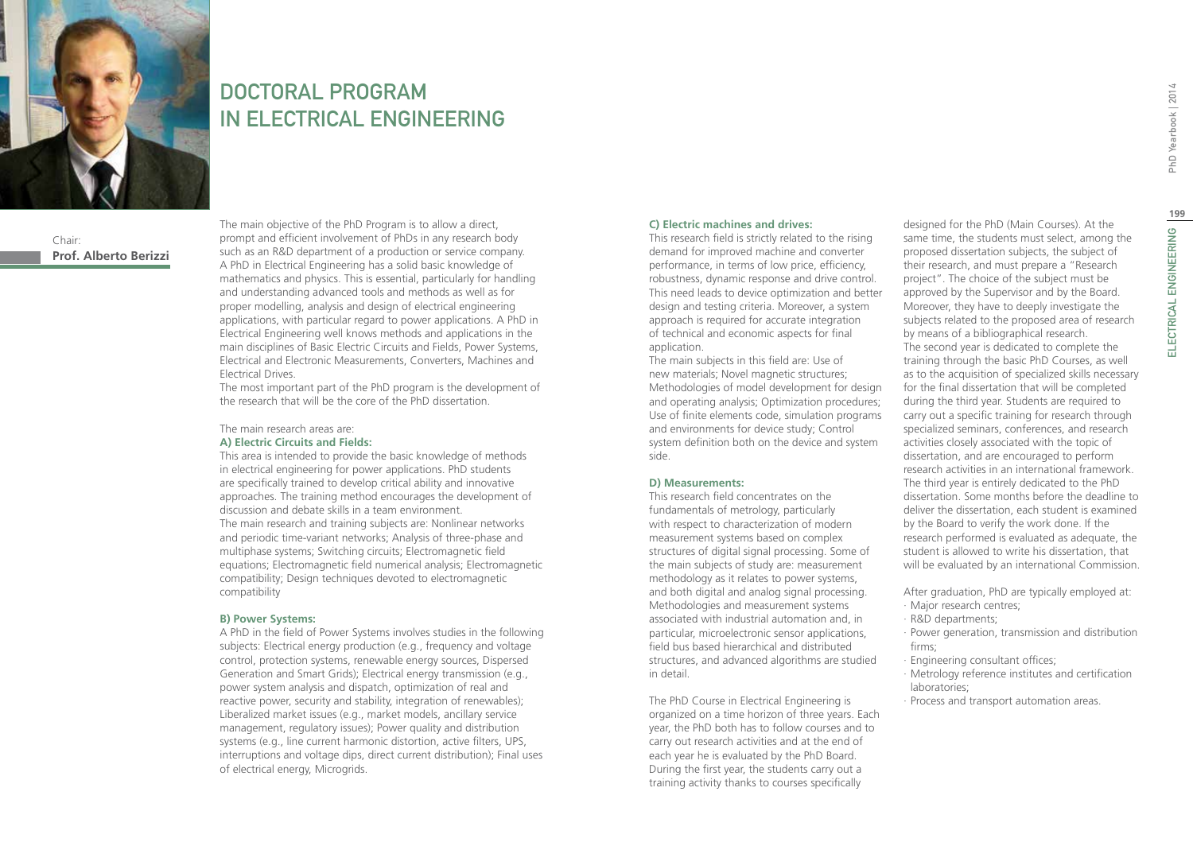

## DOCTORAL PROGRAM IN ELECTRICAL ENGINEERING

Chair: **Prof. Alberto Berizzi** The main objective of the PhD Program is to allow a direct, prompt and efficient involvement of PhDs in any research body such as an R&D department of a production or service company. A PhD in Electrical Engineering has a solid basic knowledge of mathematics and physics. This is essential, particularly for handling and understanding advanced tools and methods as well as for proper modelling, analysis and design of electrical engineering applications, with particular regard to power applications. A PhD in Electrical Engineering well knows methods and applications in the main disciplines of Basic Electric Circuits and Fields, Power Systems, Electrical and Electronic Measurements, Converters, Machines and Electrical Drives.

The most important part of the PhD program is the development of the research that will be the core of the PhD dissertation.

#### The main research areas are: **A) Electric Circuits and Fields:**

This area is intended to provide the basic knowledge of methods in electrical engineering for power applications. PhD students are specifically trained to develop critical ability and innovative approaches. The training method encourages the development of discussion and debate skills in a team environment. The main research and training subjects are: Nonlinear networks and periodic time-variant networks; Analysis of three-phase and multiphase systems; Switching circuits; Electromagnetic field equations; Electromagnetic field numerical analysis; Electromagnetic compatibility; Design techniques devoted to electromagnetic compatibility

#### **B) Power Systems:**

A PhD in the field of Power Systems involves studies in the following subjects: Electrical energy production (e.g., frequency and voltage control, protection systems, renewable energy sources, Dispersed Generation and Smart Grids); Electrical energy transmission (e.g., power system analysis and dispatch, optimization of real and reactive power, security and stability, integration of renewables); Liberalized market issues (e.g., market models, ancillary service management, regulatory issues); Power quality and distribution systems (e.g., line current harmonic distortion, active filters, UPS, interruptions and voltage dips, direct current distribution); Final uses of electrical energy, Microgrids.

#### **C) Electric machines and drives:**

This research field is strictly related to the rising demand for improved machine and converter performance, in terms of low price, efficiency, robustness, dynamic response and drive control. This need leads to device optimization and better design and testing criteria. Moreover, a system approach is required for accurate integration of technical and economic aspects for final application.

The main subjects in this field are: Use of new materials; Novel magnetic structures; Methodologies of model development for design and operating analysis; Optimization procedures; Use of finite elements code, simulation programs and environments for device study; Control system definition both on the device and system side.

#### **D) Measurements:**

This research field concentrates on the fundamentals of metrology, particularly with respect to characterization of modern measurement systems based on complex structures of digital signal processing. Some of the main subjects of study are: measurement methodology as it relates to power systems, and both digital and analog signal processing. Methodologies and measurement systems associated with industrial automation and, in particular, microelectronic sensor applications, field bus based hierarchical and distributed structures, and advanced algorithms are studied in detail.

The PhD Course in Electrical Engineering is organized on a time horizon of three years. Each year, the PhD both has to follow courses and to carry out research activities and at the end of each year he is evaluated by the PhD Board. During the first year, the students carry out a training activity thanks to courses specifically

designed for the PhD (Main Courses). At the same time, the students must select, among the proposed dissertation subjects, the subject of their research, and must prepare a "Research project". The choice of the subject must be approved by the Supervisor and by the Board. Moreover, they have to deeply investigate the subjects related to the proposed area of research by means of a bibliographical research. The second year is dedicated to complete the training through the basic PhD Courses, as well as to the acquisition of specialized skills necessary

for the final dissertation that will be completed during the third year. Students are required to carry out a specific training for research through specialized seminars, conferences, and research activities closely associated with the topic of dissertation, and are encouraged to perform research activities in an international framework. The third year is entirely dedicated to the PhD dissertation. Some months before the deadline to deliver the dissertation, each student is examined by the Board to verify the work done. If the research performed is evaluated as adequate, the student is allowed to write his dissertation, that will be evaluated by an international Commission.

After graduation, PhD are typically employed at:

- ∙ Major research centres;
- ∙ R&D departments;
- ∙ Power generation, transmission and distribution firms;
- ∙ Engineering consultant offices;
- ∙ Metrology reference institutes and certification laboratories;
- ∙ Process and transport automation areas.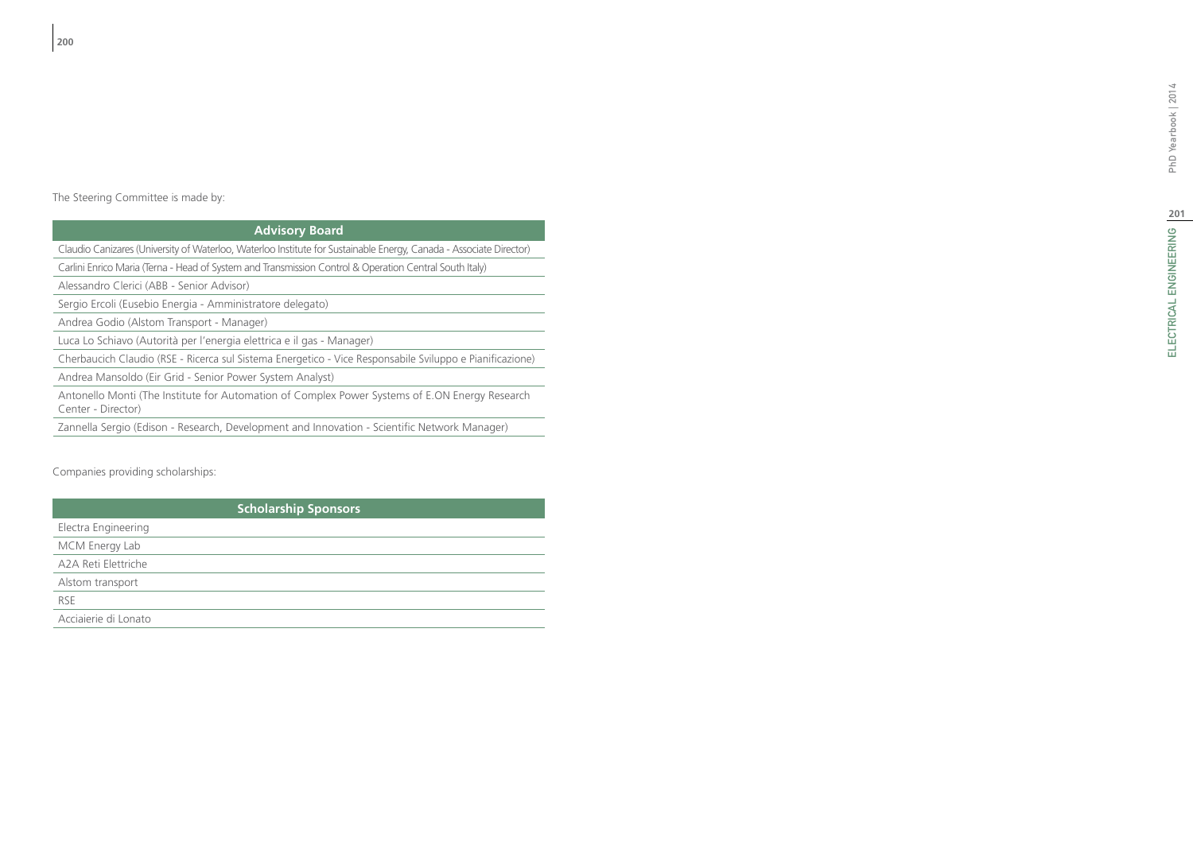# ELECTRICAL ENGINEERING |20 ELECTRICAL ENGINEERING PhD Yearbook | 2014

## **Advisory Board**

Claudio Canizares (University of Waterloo, Waterloo Institute for Sustainable Energy, Canada - Associate Director)

Carlini Enrico Maria (Terna - Head of System and Transmission Control & Operation Central South Italy)

Alessandro Clerici (ABB - Senior Advisor)

Sergio Ercoli (Eusebio Energia - Amministratore delegato)

Andrea Godio (Alstom Transport - Manager)

Luca Lo Schiavo (Autorità per l'energia elettrica e il gas - Manager)

Cherbaucich Claudio (RSE - Ricerca sul Sistema Energetico - Vice Responsabile Sviluppo e Pianificazione)

Andrea Mansoldo (Eir Grid - Senior Power System Analyst)

Antonello Monti (The Institute for Automation of Complex Power Systems of E.ON Energy Research Center - Director)

Zannella Sergio (Edison - Research, Development and Innovation - Scientific Network Manager)

### Companies providing scholarships:

| <b>Scholarship Sponsors</b> |
|-----------------------------|
| Electra Engineering         |
| MCM Energy Lab              |
| A2A Reti Elettriche         |
| Alstom transport            |
| <b>RSE</b>                  |
| Acciaierie di Lonato        |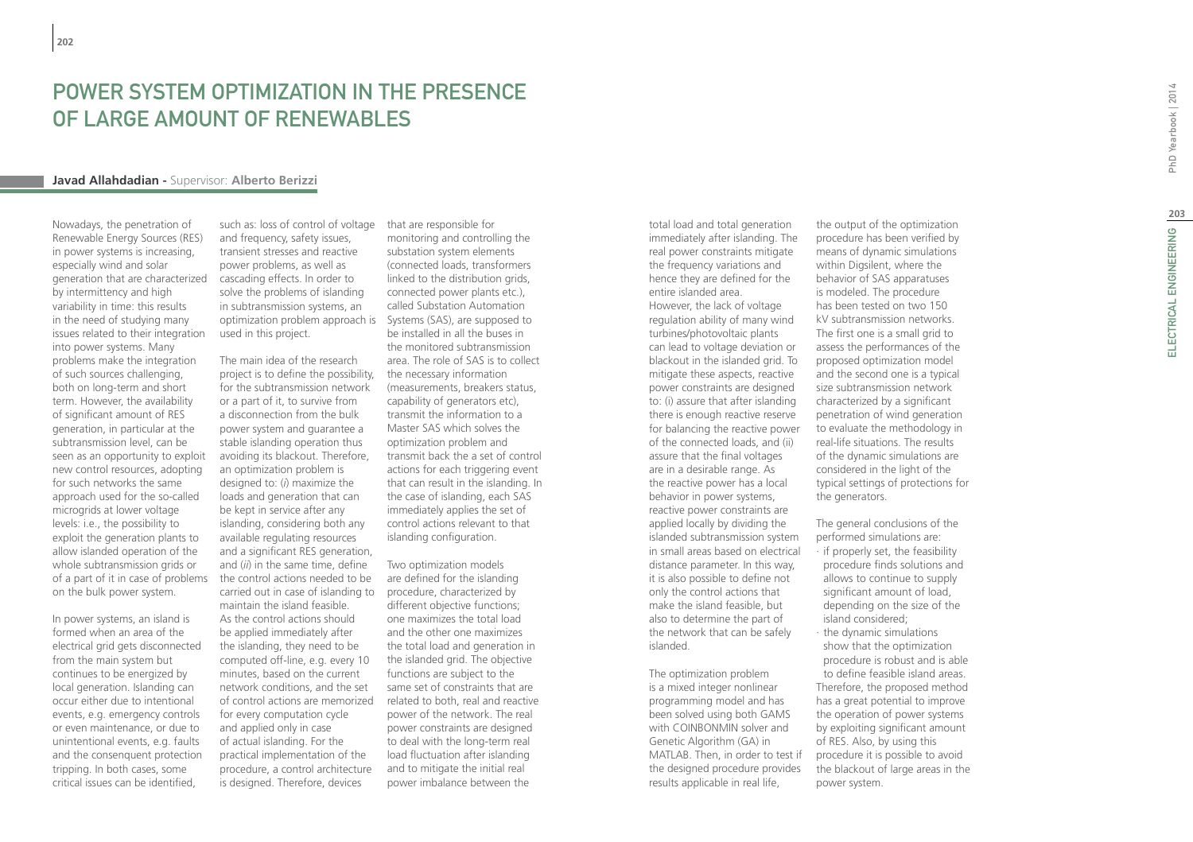## Power System Optimization in the Presence of Large Amount of Renewables

#### **Javad Allahdadian -** Supervisor: **Alberto Berizzi**

Nowadays, the penetration of Renewable Energy Sources (RES) in power systems is increasing, especially wind and solar generation that are characterized by intermittency and high variability in time: this results in the need of studying many issues related to their integration into power systems. Many problems make the integration of such sources challenging, both on long-term and short term. However, the availability of significant amount of RES generation, in particular at the subtransmission level, can be seen as an opportunity to exploit new control resources, adopting for such networks the same approach used for the so-called microgrids at lower voltage levels: i.e., the possibility to exploit the generation plants to allow islanded operation of the whole subtransmission grids or of a part of it in case of problems on the bulk power system.

In power systems, an island is formed when an area of the electrical grid gets disconnected from the main system but continues to be energized by local generation. Islanding can occur either due to intentional events, e.g. emergency controls or even maintenance, or due to unintentional events, e.g. faults and the consenquent protection tripping. In both cases, some critical issues can be identified,

such as: loss of control of voltage and frequency, safety issues, transient stresses and reactive power problems, as well as cascading effects. In order to solve the problems of islanding in subtransmission systems, an optimization problem approach is Systems (SAS), are supposed to used in this project.

The main idea of the research project is to define the possibility, for the subtransmission network or a part of it, to survive from a disconnection from the bulk power system and guarantee a stable islanding operation thus avoiding its blackout. Therefore, an optimization problem is designed to: (*i*) maximize the loads and generation that can be kept in service after any islanding, considering both any available regulating resources and a significant RES generation, and (*ii*) in the same time, define the control actions needed to be carried out in case of islanding to maintain the island feasible. As the control actions should be applied immediately after the islanding, they need to be computed off-line, e.g. every 10 minutes, based on the current network conditions, and the set of control actions are memorized for every computation cycle and applied only in case of actual islanding. For the practical implementation of the procedure, a control architecture is designed. Therefore, devices

that are responsible for monitoring and controlling the substation system elements (connected loads, transformers linked to the distribution grids, connected power plants etc.), called Substation Automation be installed in all the buses in the monitored subtransmission area. The role of SAS is to collect the necessary information (measurements, breakers status, capability of generators etc), transmit the information to a Master SAS which solves the optimization problem and transmit back the a set of control actions for each triggering event that can result in the islanding. In the case of islanding, each SAS immediately applies the set of control actions relevant to that islanding configuration.

Two optimization models are defined for the islanding procedure, characterized by different objective functions; one maximizes the total load and the other one maximizes the total load and generation in the islanded grid. The objective functions are subject to the same set of constraints that are related to both, real and reactive power of the network. The real power constraints are designed to deal with the long-term real load fluctuation after islanding and to mitigate the initial real power imbalance between the

total load and total generation immediately after islanding. The real power constraints mitigate the frequency variations and hence they are defined for the entire islanded area. However, the lack of voltage regulation ability of many wind turbines/photovoltaic plants can lead to voltage deviation or blackout in the islanded grid. To mitigate these aspects, reactive power constraints are designed to: (i) assure that after islanding there is enough reactive reserve for balancing the reactive power of the connected loads, and (ii) assure that the final voltages are in a desirable range. As the reactive power has a local behavior in power systems, reactive power constraints are applied locally by dividing the islanded subtransmission system in small areas based on electrical distance parameter. In this way, it is also possible to define not only the control actions that make the island feasible, but also to determine the part of the network that can be safely islanded.

The optimization problem is a mixed integer nonlinear programming model and has been solved using both GAMS with COINBONMIN solver and Genetic Algorithm (GA) in MATLAB. Then, in order to test if the designed procedure provides results applicable in real life,

the output of the optimization procedure has been verified by means of dynamic simulations within Digsilent, where the behavior of SAS apparatuses is modeled. The procedure has been tested on two 150 kV subtransmission networks. The first one is a small grid to assess the performances of the proposed optimization model and the second one is a typical size subtransmission network characterized by a significant penetration of wind generation to evaluate the methodology in real-life situations. The results of the dynamic simulations are considered in the light of the typical settings of protections for the generators.

The general conclusions of the performed simulations are: ∙ if properly set, the feasibility procedure finds solutions and allows to continue to supply significant amount of load, depending on the size of the island considered;

∙ the dynamic simulations show that the optimization procedure is robust and is able to define feasible island areas. Therefore, the proposed method has a great potential to improve the operation of power systems by exploiting significant amount of RES. Also, by using this procedure it is possible to avoid the blackout of large areas in the power system.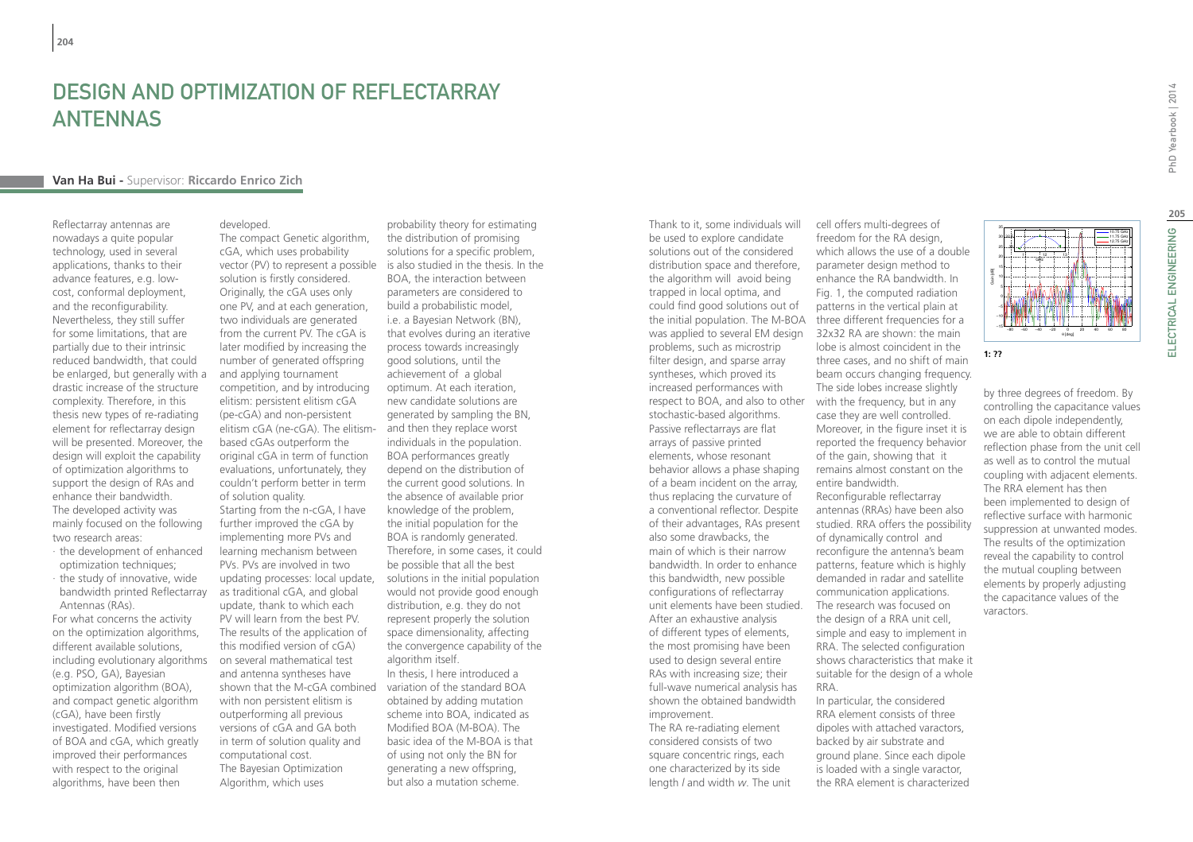## Design and Optimization of Reflectarray **ANTENNAS**

#### **Van Ha Bui -** Supervisor: **Riccardo Enrico Zich**

Reflectarray antennas are nowadays a quite popular technology, used in several applications, thanks to their advance features, e.g. lowcost, conformal deployment, and the reconfigurability. Nevertheless, they still suffer for some limitations, that are partially due to their intrinsic reduced bandwidth, that could be enlarged, but generally with a drastic increase of the structure complexity. Therefore, in this thesis new types of re-radiating element for reflectarray design will be presented. Moreover, the design will exploit the capability of optimization algorithms to support the design of RAs and enhance their bandwidth. The developed activity was mainly focused on the following two research areas:

- ∙ the development of enhanced optimization techniques;
- ∙ the study of innovative, wide bandwidth printed Reflectarray Antennas (RAs).

For what concerns the activity on the optimization algorithms, different available solutions, including evolutionary algorithms (e.g. PSO, GA), Bayesian optimization algorithm (BOA), and compact genetic algorithm (cGA), have been firstly investigated. Modified versions of BOA and cGA, which greatly improved their performances with respect to the original algorithms, have been then

The compact Genetic algorithm. cGA, which uses probability

developed.

vector (PV) to represent a possible is also studied in the thesis. In the solution is firstly considered. Originally, the cGA uses only one PV, and at each generation, two individuals are generated from the current PV. The cGA is later modified by increasing the number of generated offspring and applying tournament competition, and by introducing elitism: persistent elitism cGA (pe-cGA) and non-persistent elitism cGA (ne-cGA). The elitism-and then they replace worst based cGAs outperform the original cGA in term of function evaluations, unfortunately, they couldn't perform better in term of solution quality. Starting from the n-cGA, I have further improved the cGA by implementing more PVs and learning mechanism between PVs. PVs are involved in two updating processes: local update, as traditional cGA, and global update, thank to which each PV will learn from the best PV. The results of the application of this modified version of cGA) on several mathematical test and antenna syntheses have shown that the M-cGA combined variation of the standard BOA with non persistent elitism is outperforming all previous versions of cGA and GA both in term of solution quality and computational cost. The Bayesian Optimization Algorithm, which uses

probability theory for estimating the distribution of promising solutions for a specific problem, BOA, the interaction between parameters are considered to build a probabilistic model, i.e. a Bayesian Network (BN), that evolves during an iterative process towards increasingly good solutions, until the achievement of a global optimum. At each iteration, new candidate solutions are generated by sampling the BN, individuals in the population. BOA performances greatly depend on the distribution of the current good solutions. In the absence of available prior knowledge of the problem, the initial population for the BOA is randomly generated. Therefore, in some cases, it could be possible that all the best solutions in the initial population would not provide good enough distribution, e.g. they do not represent properly the solution space dimensionality, affecting the convergence capability of the algorithm itself. In thesis, I here introduced a

obtained by adding mutation scheme into BOA, indicated as Modified BOA (M-BOA). The basic idea of the M-BOA is that of using not only the BN for generating a new offspring, but also a mutation scheme.

Thank to it, some individuals will be used to explore candidate solutions out of the considered distribution space and therefore, the algorithm will avoid being trapped in local optima, and could find good solutions out of the initial population. The M-BOA was applied to several EM design problems, such as microstrip filter design, and sparse array syntheses, which proved its increased performances with respect to BOA, and also to other with the frequency, but in any stochastic-based algorithms. Passive reflectarrays are flat arrays of passive printed elements, whose resonant behavior allows a phase shaping of a beam incident on the array, thus replacing the curvature of a conventional reflector. Despite of their advantages, RAs present also some drawbacks, the main of which is their narrow bandwidth. In order to enhance this bandwidth, new possible configurations of reflectarray unit elements have been studied. After an exhaustive analysis of different types of elements, the most promising have been used to design several entire RAs with increasing size; their full-wave numerical analysis has shown the obtained bandwidth improvement. The RA re-radiating element

considered consists of two square concentric rings, each one characterized by its side length *l* and width *w*. The unit

cell offers multi-degrees of freedom for the RA design, which allows the use of a double parameter design method to enhance the RA bandwidth. In Fig. 1, the computed radiation patterns in the vertical plain at three different frequencies for a 32x32 RA are shown: the main lobe is almost coincident in the three cases, and no shift of main beam occurs changing frequency. The side lobes increase slightly case they are well controlled. Moreover, in the figure inset it is reported the frequency behavior of the gain, showing that it remains almost constant on the entire bandwidth. Reconfigurable reflectarray antennas (RRAs) have been also studied. RRA offers the possibility of dynamically control and reconfigure the antenna's beam patterns, feature which is highly demanded in radar and satellite communication applications. The research was focused on the design of a RRA unit cell, simple and easy to implement in RRA. The selected configuration shows characteristics that make it suitable for the design of a whole RRA. In particular, the considered

RRA element consists of three dipoles with attached varactors, backed by air substrate and ground plane. Since each dipole is loaded with a single varactor, the RRA element is characterized 10.75 GHz 11.75 GHz 12.75 GHz

by three degrees of freedom. By controlling the capacitance values on each dipole independently, we are able to obtain different reflection phase from the unit cell as well as to control the mutual coupling with adjacent elements. The RRA element has then been implemented to design of reflective surface with harmonic suppression at unwanted modes. The results of the optimization reveal the capability to control the mutual coupling between elements by properly adjusting the capacitance values of the varactors.

−80 −60 −40 −20 <sup>0</sup> <sup>20</sup> <sup>40</sup> <sup>60</sup> <sup>80</sup> −15

11. . . . . . . . . 12 . . . <del>.</del> . . . . . 13

GHz

θ [deg]

**1: ??**

Gain [dB]

32 32.5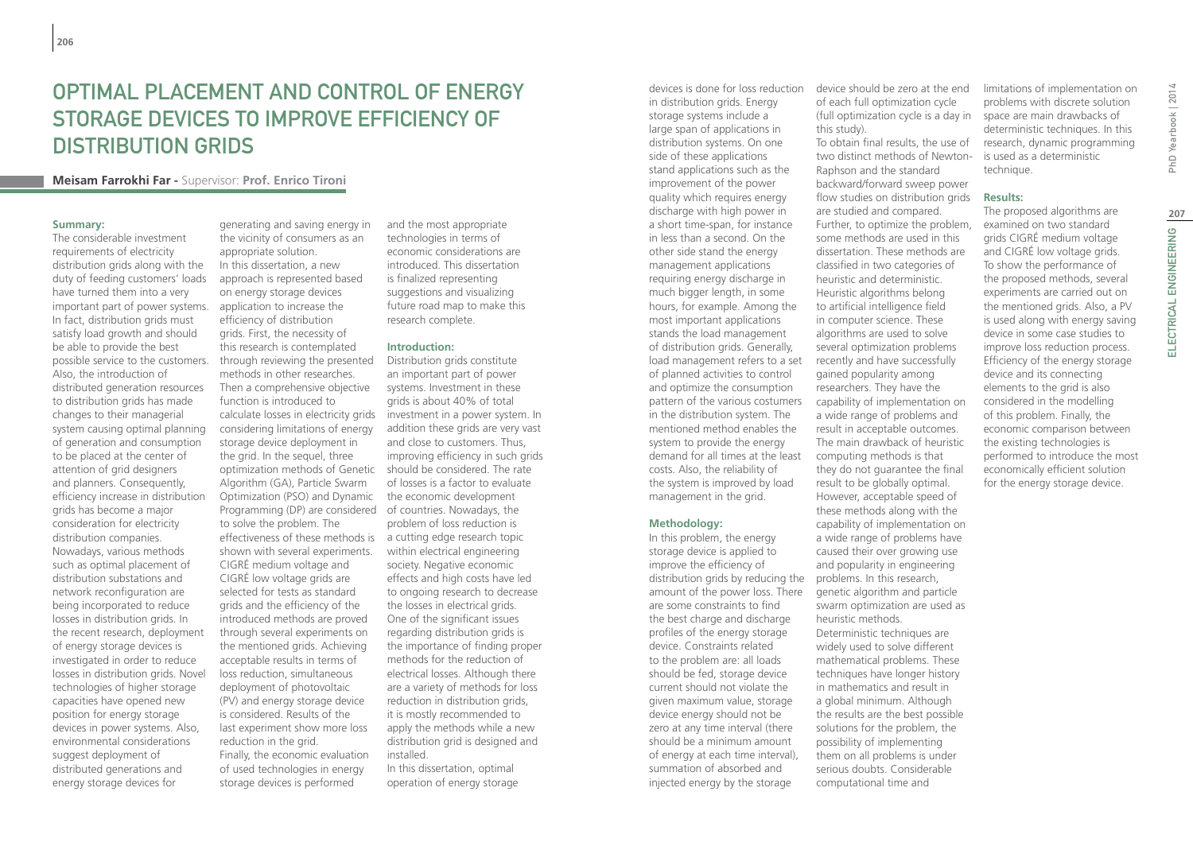## Optimal placement and control of energy storage devices to improve efficiency of distribution grids

#### **Meisam Farrokhi Far -** Supervisor: **Prof. Enrico Tironi**

#### **Summary:**

The considerable investment requirements of electricity distribution grids along with the duty of feeding customers' loads have turned them into a very important part of power systems. In fact, distribution grids must satisfy load growth and should be able to provide the best possible service to the customers. Also, the introduction of distributed generation resources to distribution grids has made changes to their managerial system causing optimal planning of generation and consumption to be placed at the center of attention of grid designers and planners. Consequently, efficiency increase in distribution grids has become a major consideration for electricity distribution companies. Nowadays, various methods such as optimal placement of distribution substations and network reconfiguration are being incorporated to reduce losses in distribution grids. In the recent research, deployment of energy storage devices is investigated in order to reduce losses in distribution grids. Novel technologies of higher storage capacities have opened new position for energy storage devices in power systems. Also, environmental considerations suggest deployment of distributed generations and energy storage devices for

generating and saving energy in the vicinity of consumers as an appropriate solution. In this dissertation, a new approach is represented based on energy storage devices application to increase the efficiency of distribution grids. First, the necessity of this research is contemplated through reviewing the presented methods in other researches. Then a comprehensive objective function is introduced to calculate losses in electricity grids considering limitations of energy storage device deployment in the grid. In the sequel, three optimization methods of Genetic should be considered. The rate Algorithm (GA), Particle Swarm Optimization (PSO) and Dynamic Programming (DP) are considered of countries. Nowadays, the to solve the problem. The effectiveness of these methods is a cutting edge research topic shown with several experiments. CIGRÉ medium voltage and CIGRÉ low voltage grids are selected for tests as standard grids and the efficiency of the introduced methods are proved through several experiments on the mentioned grids. Achieving acceptable results in terms of loss reduction, simultaneous deployment of photovoltaic (PV) and energy storage device is considered. Results of the last experiment show more loss reduction in the grid. Finally, the economic evaluation of used technologies in energy storage devices is performed

and the most appropriate technologies in terms of economic considerations are introduced. This dissertation is finalized representing suggestions and visualizing future road map to make this research complete.

#### **Introduction:**

Distribution grids constitute an important part of power systems. Investment in these grids is about 40% of total investment in a power system. In addition these grids are very vast and close to customers. Thus, improving efficiency in such grids of losses is a factor to evaluate the economic development problem of loss reduction is within electrical engineering society. Negative economic effects and high costs have led to ongoing research to decrease the losses in electrical grids. One of the significant issues regarding distribution grids is the importance of finding proper methods for the reduction of electrical losses. Although there are a variety of methods for loss reduction in distribution grids, it is mostly recommended to apply the methods while a new distribution grid is designed and installed. In this dissertation, optimal

operation of energy storage

in distribution grids. Energy storage systems include a large span of applications in distribution systems. On one side of these applications stand applications such as the improvement of the power quality which requires energy discharge with high power in a short time-span, for instance in less than a second. On the other side stand the energy management applications requiring energy discharge in much bigger length, in some hours, for example. Among the most important applications stands the load management of distribution grids. Generally, load management refers to a set of planned activities to control and optimize the consumption pattern of the various costumers in the distribution system. The mentioned method enables the system to provide the energy demand for all times at the least costs. Also, the reliability of the system is improved by load management in the grid.

#### **Methodology:**

distribution grids by reducing the problems. In this research, In this problem, the energy storage device is applied to improve the efficiency of amount of the power loss. There are some constraints to find the best charge and discharge profiles of the energy storage device. Constraints related to the problem are: all loads should be fed, storage device current should not violate the given maximum value, storage device energy should not be zero at any time interval (there should be a minimum amount of energy at each time interval), summation of absorbed and injected energy by the storage

devices is done for loss reduction device should be zero at the end of each full optimization cycle (full optimization cycle is a day in space are main drawbacks of this study).

To obtain final results, the use of two distinct methods of Newton-Raphson and the standard backward/forward sweep power flow studies on distribution grids are studied and compared. Further, to optimize the problem, some methods are used in this dissertation. These methods are classified in two categories of heuristic and deterministic. Heuristic algorithms belong to artificial intelligence field in computer science. These algorithms are used to solve several optimization problems recently and have successfully gained popularity among researchers. They have the capability of implementation on a wide range of problems and result in acceptable outcomes. The main drawback of heuristic computing methods is that they do not guarantee the final result to be globally optimal. However, acceptable speed of these methods along with the capability of implementation on a wide range of problems have caused their over growing use and popularity in engineering genetic algorithm and particle swarm optimization are used as heuristic methods. Deterministic techniques are widely used to solve different mathematical problems. These techniques have longer history in mathematics and result in a global minimum. Although the results are the best possible solutions for the problem, the possibility of implementing them on all problems is under

serious doubts. Considerable computational time and

limitations of implementation on problems with discrete solution deterministic techniques. In this research, dynamic programming is used as a deterministic technique.

#### **Results:**

The proposed algorithms are examined on two standard grids CIGRÉ medium voltage and CIGRÉ low voltage grids. To show the performance of the proposed methods, several experiments are carried out on the mentioned grids. Also, a PV is used along with energy saving device in some case studies to improve loss reduction process. Efficiency of the energy storage device and its connecting elements to the grid is also considered in the modelling of this problem. Finally, the economic comparison between the existing technologies is performed to introduce the most economically efficient solution for the energy storage device.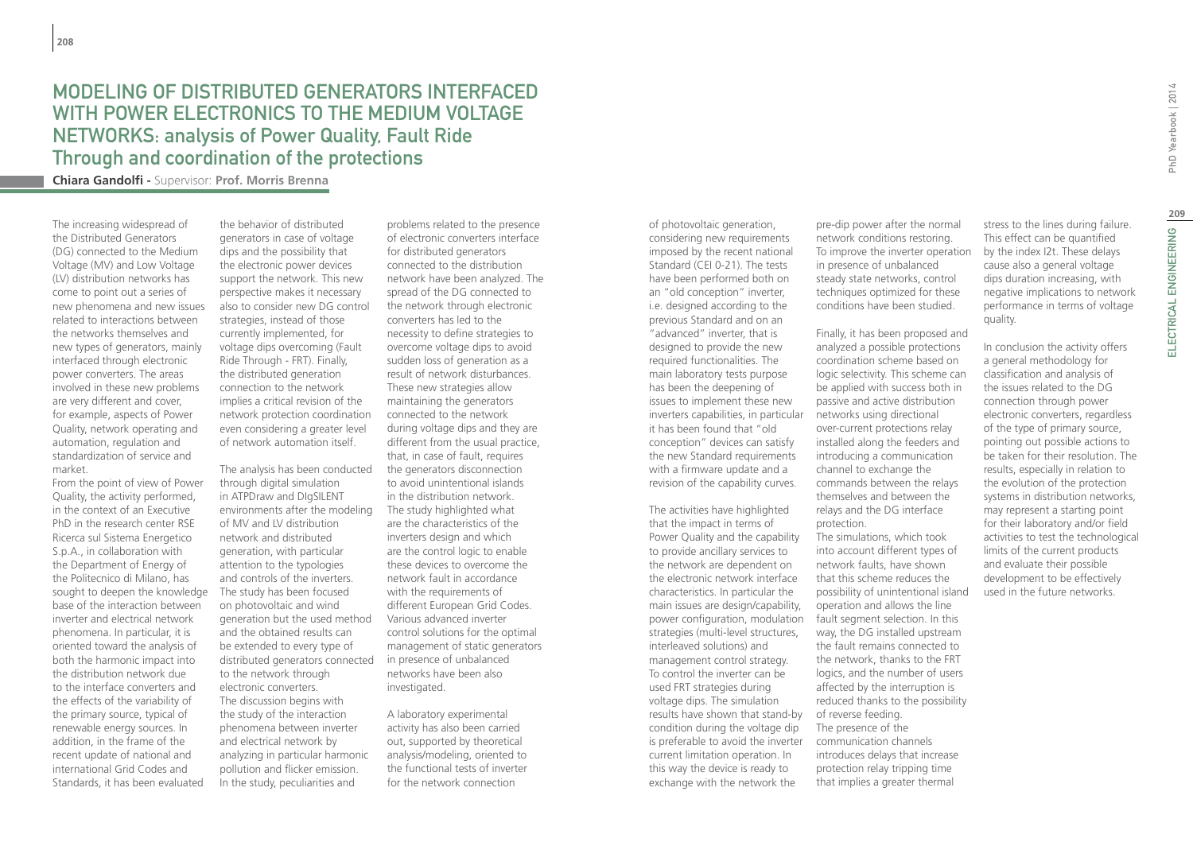## Modeling of Distributed Generators interfaced with power electronics to the medium voltage networks: analysis of Power Quality, Fault Ride Through and coordination of the protections

**Chiara Gandolfi -** Supervisor: **Prof. Morris Brenna**

The increasing widespread of the Distributed Generators (DG) connected to the Medium Voltage (MV) and Low Voltage (LV) distribution networks has come to point out a series of new phenomena and new issues related to interactions between the networks themselves and new types of generators, mainly interfaced through electronic power converters. The areas involved in these new problems are very different and cover, for example, aspects of Power Quality, network operating and automation, regulation and standardization of service and market.

From the point of view of Power Quality, the activity performed, in the context of an Executive PhD in the research center RSE Ricerca sul Sistema Energetico S.p.A., in collaboration with the Department of Energy of the Politecnico di Milano, has sought to deepen the knowledge base of the interaction between inverter and electrical network phenomena. In particular, it is oriented toward the analysis of both the harmonic impact into the distribution network due to the interface converters and the effects of the variability of the primary source, typical of renewable energy sources. In addition, in the frame of the recent update of national and international Grid Codes and Standards, it has been evaluated

the behavior of distributed generators in case of voltage dips and the possibility that the electronic power devices support the network. This new perspective makes it necessary also to consider new DG control strategies, instead of those currently implemented, for voltage dips overcoming (Fault Ride Through - FRT). Finally, the distributed generation connection to the network implies a critical revision of the network protection coordination even considering a greater level of network automation itself.

The analysis has been conducted through digital simulation in ATPDraw and DIgSILENT environments after the modeling of MV and LV distribution network and distributed generation, with particular attention to the typologies and controls of the inverters. The study has been focused on photovoltaic and wind generation but the used method and the obtained results can be extended to every type of distributed generators connected to the network through electronic converters. The discussion begins with the study of the interaction phenomena between inverter and electrical network by analyzing in particular harmonic pollution and flicker emission. In the study, peculiarities and

problems related to the presence of electronic converters interface for distributed generators connected to the distribution network have been analyzed. The spread of the DG connected to the network through electronic converters has led to the necessity to define strategies to overcome voltage dips to avoid sudden loss of generation as a result of network disturbances. These new strategies allow maintaining the generators connected to the network during voltage dips and they are different from the usual practice, that, in case of fault, requires the generators disconnection to avoid unintentional islands in the distribution network. The study highlighted what are the characteristics of the inverters design and which are the control logic to enable these devices to overcome the network fault in accordance with the requirements of different European Grid Codes. Various advanced inverter control solutions for the optimal management of static generators in presence of unbalanced networks have been also investigated.

A laboratory experimental activity has also been carried out, supported by theoretical analysis/modeling, oriented to the functional tests of inverter for the network connection

of photovoltaic generation, considering new requirements imposed by the recent national Standard (CEI 0-21). The tests have been performed both on an "old conception" inverter, i.e. designed according to the previous Standard and on an "advanced" inverter, that is designed to provide the new required functionalities. The main laboratory tests purpose has been the deepening of issues to implement these new inverters capabilities, in particular it has been found that "old conception" devices can satisfy the new Standard requirements with a firmware update and a revision of the capability curves.

The activities have highlighted that the impact in terms of Power Quality and the capability to provide ancillary services to the network are dependent on the electronic network interface characteristics. In particular the main issues are design/capability, power configuration, modulation strategies (multi-level structures, interleaved solutions) and management control strategy. To control the inverter can be used FRT strategies during voltage dips. The simulation results have shown that stand-by of reverse feeding. condition during the voltage dip is preferable to avoid the inverter current limitation operation. In this way the device is ready to exchange with the network the

pre-dip power after the normal network conditions restoring. To improve the inverter operation in presence of unbalanced steady state networks, control techniques optimized for these conditions have been studied.

Finally, it has been proposed and analyzed a possible protections coordination scheme based on logic selectivity. This scheme can be applied with success both in passive and active distribution networks using directional over-current protections relay installed along the feeders and introducing a communication channel to exchange the commands between the relays themselves and between the relays and the DG interface protection.

The simulations, which took into account different types of network faults, have shown that this scheme reduces the possibility of unintentional island operation and allows the line fault segment selection. In this way, the DG installed upstream the fault remains connected to the network, thanks to the FRT logics, and the number of users affected by the interruption is reduced thanks to the possibility The presence of the communication channels introduces delays that increase protection relay tripping time that implies a greater thermal

stress to the lines during failure. This effect can be quantified by the index I2t. These delays cause also a general voltage dips duration increasing, with negative implications to network performance in terms of voltage quality.

In conclusion the activity offers a general methodology for classification and analysis of the issues related to the DG connection through power electronic converters, regardless of the type of primary source, pointing out possible actions to be taken for their resolution. The results, especially in relation to the evolution of the protection systems in distribution networks, may represent a starting point for their laboratory and/or field activities to test the technological limits of the current products and evaluate their possible development to be effectively used in the future networks.

ELECTRICAL ENGINEERING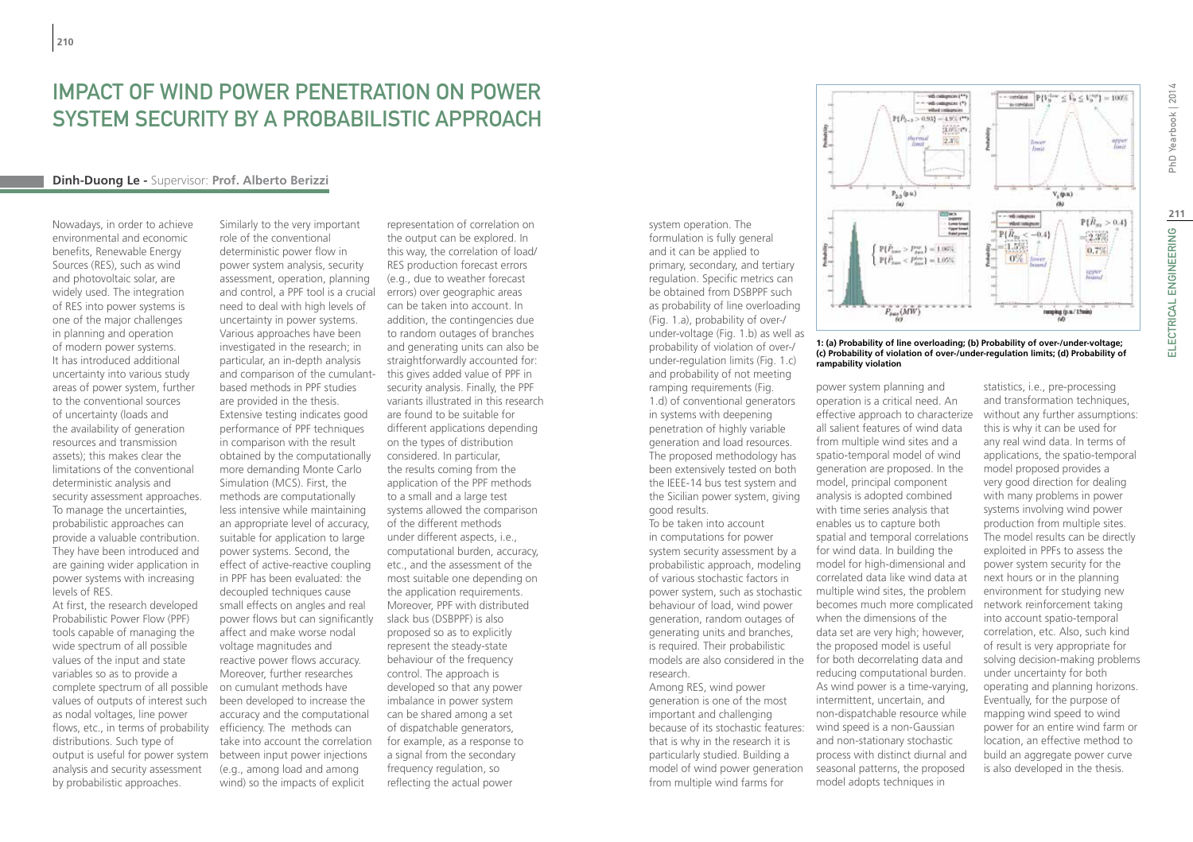## IMPACT OF WIND POWER PENETRATION ON POWER SYSTEM SECURITY BY A PROBABILISTIC APPROACH

#### **Dinh-Duong Le -** Supervisor: **Prof. Alberto Berizzi**

Nowadays, in order to achieve environmental and economic benefits, Renewable Energy Sources (RES), such as wind and photovoltaic solar, are widely used. The integration of RES into power systems is one of the major challenges in planning and operation of modern power systems. It has introduced additional uncertainty into various study areas of power system, further to the conventional sources of uncertainty (loads and the availability of generation resources and transmission assets); this makes clear the limitations of the conventional deterministic analysis and security assessment approaches. To manage the uncertainties, probabilistic approaches can provide a valuable contribution. They have been introduced and are gaining wider application in power systems with increasing levels of RES. At first, the research developed

Probabilistic Power Flow (PPF) tools capable of managing the wide spectrum of all possible values of the input and state variables so as to provide a complete spectrum of all possible values of outputs of interest such as nodal voltages, line power flows, etc., in terms of probability distributions. Such type of output is useful for power system analysis and security assessment by probabilistic approaches.

Similarly to the very important role of the conventional deterministic power flow in power system analysis, security assessment, operation, planning and control, a PPF tool is a crucial need to deal with high levels of uncertainty in power systems. Various approaches have been investigated in the research; in particular, an in-depth analysis and comparison of the cumulantbased methods in PPF studies are provided in the thesis. Extensive testing indicates good performance of PPF techniques in comparison with the result obtained by the computationally more demanding Monte Carlo Simulation (MCS). First, the methods are computationally less intensive while maintaining an appropriate level of accuracy, suitable for application to large power systems. Second, the effect of active-reactive coupling in PPF has been evaluated: the decoupled techniques cause small effects on angles and real power flows but can significantly affect and make worse nodal voltage magnitudes and reactive power flows accuracy. Moreover, further researches on cumulant methods have been developed to increase the accuracy and the computational efficiency. The methods can take into account the correlation between input power injections (e.g., among load and among wind) so the impacts of explicit

representation of correlation on the output can be explored. In this way, the correlation of load/ RES production forecast errors (e.g., due to weather forecast errors) over geographic areas can be taken into account. In addition, the contingencies due to random outages of branches and generating units can also be straightforwardly accounted for: this gives added value of PPF in security analysis. Finally, the PPF variants illustrated in this research are found to be suitable for different applications depending on the types of distribution considered. In particular, the results coming from the application of the PPF methods to a small and a large test systems allowed the comparison of the different methods under different aspects, i.e., computational burden, accuracy, etc., and the assessment of the most suitable one depending on the application requirements. Moreover, PPF with distributed slack bus (DSBPPF) is also proposed so as to explicitly represent the steady-state behaviour of the frequency control. The approach is developed so that any power imbalance in power system can be shared among a set of dispatchable generators, for example, as a response to a signal from the secondary frequency regulation, so reflecting the actual power

system operation. The formulation is fully general and it can be applied to primary, secondary, and tertiary regulation. Specific metrics can be obtained from DSBPPF such as probability of line overloading (Fig. 1.a), probability of over-/ under-voltage (Fig. 1.b) as well as probability of violation of over-/ under-regulation limits (Fig. 1.c) and probability of not meeting ramping requirements (Fig. 1.d) of conventional generators in systems with deepening penetration of highly variable generation and load resources. The proposed methodology has been extensively tested on both the IEEE-14 bus test system and the Sicilian power system, giving good results. To be taken into account

in computations for power system security assessment by a probabilistic approach, modeling of various stochastic factors in power system, such as stochastic behaviour of load, wind power generation, random outages of generating units and branches, is required. Their probabilistic models are also considered in the research. Among RES, wind power

generation is one of the most important and challenging because of its stochastic features: that is why in the research it is particularly studied. Building a model of wind power generation from multiple wind farms for



#### **1: (a) Probability of line overloading; (b) Probability of over-/under-voltage; (c) Probability of violation of over-/under-regulation limits; (d) Probability of rampability violation**

power system planning and operation is a critical need. An effective approach to characterize all salient features of wind data from multiple wind sites and a spatio-temporal model of wind generation are proposed. In the model, principal component analysis is adopted combined with time series analysis that enables us to capture both spatial and temporal correlations for wind data. In building the model for high-dimensional and correlated data like wind data at multiple wind sites, the problem becomes much more complicated when the dimensions of the data set are very high; however, the proposed model is useful for both decorrelating data and reducing computational burden. As wind power is a time-varying, intermittent, uncertain, and non-dispatchable resource while wind speed is a non-Gaussian and non-stationary stochastic process with distinct diurnal and seasonal patterns, the proposed model adopts techniques in

statistics, i.e., pre-processing and transformation techniques, without any further assumptions: this is why it can be used for any real wind data. In terms of applications, the spatio-temporal model proposed provides a very good direction for dealing with many problems in power systems involving wind power production from multiple sites. The model results can be directly exploited in PPFs to assess the power system security for the next hours or in the planning environment for studying new network reinforcement taking into account spatio-temporal correlation, etc. Also, such kind of result is very appropriate for solving decision-making problems under uncertainty for both operating and planning horizons. Eventually, for the purpose of mapping wind speed to wind power for an entire wind farm or location, an effective method to build an aggregate power curve is also developed in the thesis.

PhD Yearbook | 2014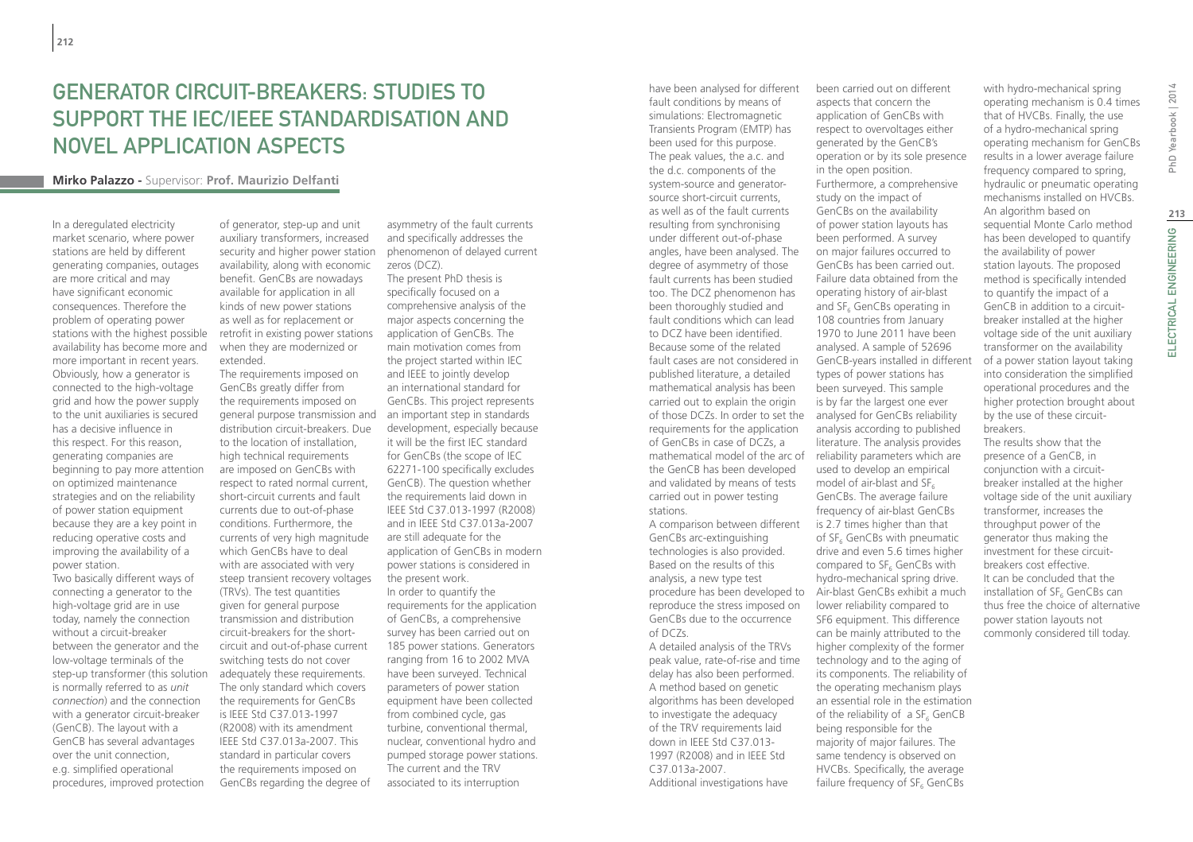# Generator Circuit-Breakers: studies to support the IEC/IEEE standardisation and novel application aspects

#### **Mirko Palazzo -** Supervisor: **Prof. Maurizio Delfanti**

In a deregulated electricity market scenario, where power stations are held by different generating companies, outages are more critical and may have significant economic consequences. Therefore the problem of operating power stations with the highest possible availability has become more and more important in recent years. Obviously, how a generator is connected to the high-voltage grid and how the power supply to the unit auxiliaries is secured has a decisive influence in this respect. For this reason, generating companies are beginning to pay more attention on optimized maintenance strategies and on the reliability of power station equipment because they are a key point in reducing operative costs and improving the availability of a power station.

Two basically different ways of connecting a generator to the high-voltage grid are in use today, namely the connection without a circuit-breaker between the generator and the low-voltage terminals of the step-up transformer (this solution is normally referred to as *unit connection*) and the connection with a generator circuit-breaker (GenCB). The layout with a GenCB has several advantages over the unit connection, e.g. simplified operational procedures, improved protection

of generator, step-up and unit auxiliary transformers, increased security and higher power station availability, along with economic benefit. GenCBs are nowadays available for application in all kinds of new power stations as well as for replacement or retrofit in existing power stations when they are modernized or extended.

The requirements imposed on GenCBs greatly differ from the requirements imposed on general purpose transmission and distribution circuit-breakers. Due to the location of installation, high technical requirements are imposed on GenCBs with respect to rated normal current, short-circuit currents and fault currents due to out-of-phase conditions. Furthermore, the currents of very high magnitude which GenCBs have to deal with are associated with very steep transient recovery voltages (TRVs). The test quantities given for general purpose transmission and distribution circuit-breakers for the shortcircuit and out-of-phase current switching tests do not cover adequately these requirements. The only standard which covers the requirements for GenCBs is IEEE Std C37.013-1997 (R2008) with its amendment IEEE Std C37.013a-2007. This standard in particular covers the requirements imposed on GenCBs regarding the degree of

asymmetry of the fault currents and specifically addresses the phenomenon of delayed current zeros (DCZ).

The present PhD thesis is specifically focused on a comprehensive analysis of the major aspects concerning the application of GenCBs. The main motivation comes from the project started within IEC and IEEE to jointly develop an international standard for GenCBs. This project represents an important step in standards development, especially because it will be the first IEC standard for GenCBs (the scope of IEC 62271-100 specifically excludes GenCB). The question whether the requirements laid down in IEEE Std C37.013-1997 (R2008) and in IEEE Std C37.013a-2007 are still adequate for the application of GenCBs in modern power stations is considered in the present work. In order to quantify the requirements for the application of GenCBs, a comprehensive survey has been carried out on 185 power stations. Generators ranging from 16 to 2002 MVA have been surveyed. Technical parameters of power station

equipment have been collected from combined cycle, gas turbine, conventional thermal, nuclear, conventional hydro and pumped storage power stations. The current and the TRV associated to its interruption

have been analysed for different fault conditions by means of simulations: Electromagnetic Transients Program (EMTP) has been used for this purpose. The peak values, the a.c. and the d.c. components of the system-source and generatorsource short-circuit currents, as well as of the fault currents resulting from synchronising under different out-of-phase angles, have been analysed. The degree of asymmetry of those fault currents has been studied too. The DCZ phenomenon has been thoroughly studied and fault conditions which can lead to DCZ have been identified. Because some of the related fault cases are not considered in published literature, a detailed mathematical analysis has been carried out to explain the origin of those DCZs. In order to set the analysed for GenCBs reliability requirements for the application of GenCBs in case of DCZs, a mathematical model of the arc of reliability parameters which are the GenCB has been developed and validated by means of tests carried out in power testing stations.

A comparison between different GenCBs arc-extinguishing technologies is also provided. Based on the results of this analysis, a new type test procedure has been developed to Air-blast GenCBs exhibit a much reproduce the stress imposed on GenCBs due to the occurrence of DCZs.

A detailed analysis of the TRVs peak value, rate-of-rise and time delay has also been performed. A method based on genetic algorithms has been developed to investigate the adequacy of the TRV requirements laid down in IEEE Std C37.013- 1997 (R2008) and in IEEE Std C37.013a-2007. Additional investigations have

been carried out on different aspects that concern the application of GenCBs with respect to overvoltages either generated by the GenCB's operation or by its sole presence in the open position. Furthermore, a comprehensive study on the impact of GenCBs on the availability of power station layouts has been performed. A survey on major failures occurred to GenCBs has been carried out. Failure data obtained from the operating history of air-blast and SF<sub>6</sub> GenCBs operating in 108 countries from January 1970 to June 2011 have been analysed. A sample of 52696 GenCB-years installed in different types of power stations has been surveyed. This sample is by far the largest one ever analysis according to published literature. The analysis provides used to develop an empirical model of air-blast and  $SF_{6}$ GenCBs. The average failure frequency of air-blast GenCBs is 2.7 times higher than that of SF<sub>6</sub> GenCBs with pneumatic drive and even 5.6 times higher compared to  $SF<sub>6</sub>$  GenCBs with hydro-mechanical spring drive. lower reliability compared to SF6 equipment. This difference can be mainly attributed to the higher complexity of the former technology and to the aging of its components. The reliability of the operating mechanism plays an essential role in the estimation of the reliability of a  $SF<sub>6</sub>$  GenCB being responsible for the majority of major failures. The same tendency is observed on HVCBs. Specifically, the average failure frequency of  $SF<sub>c</sub>$  GenCBs

PhD Yearbook | 2014

of a hydro-mechanical spring operating mechanism for GenCBs results in a lower average failure frequency compared to spring, hydraulic or pneumatic operating mechanisms installed on HVCBs. An algorithm based on sequential Monte Carlo method has been developed to quantify the availability of power station layouts. The proposed method is specifically intended to quantify the impact of a GenCB in addition to a circuitbreaker installed at the higher voltage side of the unit auxiliary transformer on the availability of a power station layout taking into consideration the simplified operational procedures and the higher protection brought about by the use of these circuitbreakers. The results show that the

with hydro-mechanical spring operating mechanism is 0.4 times that of HVCBs. Finally, the use

presence of a GenCB, in conjunction with a circuitbreaker installed at the higher voltage side of the unit auxiliary transformer, increases the throughput power of the generator thus making the investment for these circuitbreakers cost effective. It can be concluded that the installation of SF<sub>6</sub> GenCBs can thus free the choice of alternative power station layouts not commonly considered till today.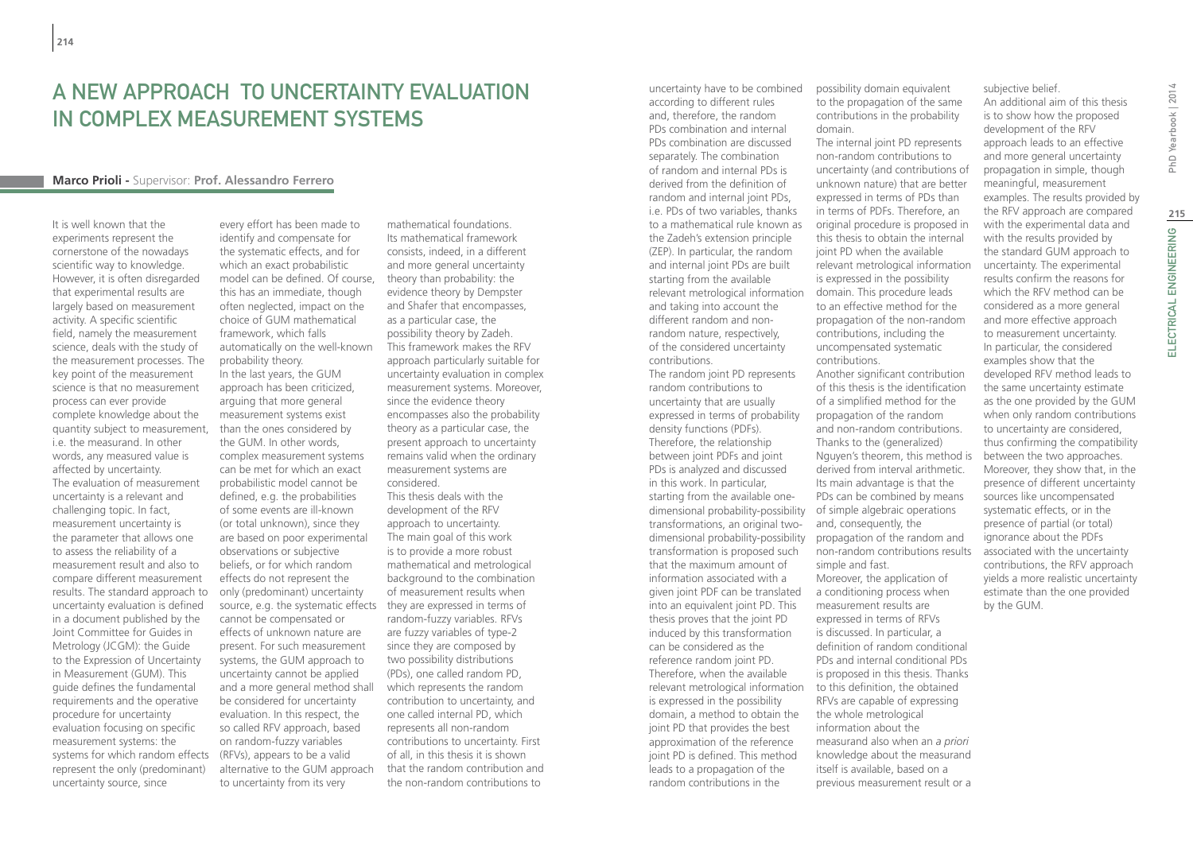## A NEW APPROACH TO UNCERTAINTY EVALUATION in complex measurement systems

#### **Marco Prioli -** Supervisor: **Prof. Alessandro Ferrero**

It is well known that the experiments represent the cornerstone of the nowadays scientific way to knowledge. However, it is often disregarded that experimental results are largely based on measurement activity. A specific scientific field, namely the measurement science, deals with the study of the measurement processes. The key point of the measurement science is that no measurement process can ever provide complete knowledge about the quantity subject to measurement, i.e. the measurand. In other words, any measured value is affected by uncertainty. The evaluation of measurement uncertainty is a relevant and challenging topic. In fact, measurement uncertainty is the parameter that allows one to assess the reliability of a measurement result and also to compare different measurement results. The standard approach to uncertainty evaluation is defined in a document published by the Joint Committee for Guides in Metrology (JCGM): the Guide to the Expression of Uncertainty in Measurement (GUM). This guide defines the fundamental requirements and the operative procedure for uncertainty evaluation focusing on specific measurement systems: the systems for which random effects represent the only (predominant) uncertainty source, since

every effort has been made to identify and compensate for the systematic effects, and for which an exact probabilistic model can be defined. Of course, this has an immediate, though often neglected, impact on the choice of GUM mathematical framework, which falls automatically on the well-known probability theory. In the last years, the GUM approach has been criticized, arguing that more general measurement systems exist than the ones considered by the GUM. In other words, complex measurement systems can be met for which an exact probabilistic model cannot be defined, e.g. the probabilities of some events are ill-known (or total unknown), since they are based on poor experimental observations or subjective beliefs, or for which random effects do not represent the only (predominant) uncertainty source, e.g. the systematic effects they are expressed in terms of cannot be compensated or effects of unknown nature are present. For such measurement systems, the GUM approach to uncertainty cannot be applied and a more general method shall be considered for uncertainty evaluation. In this respect, the so called RFV approach, based on random-fuzzy variables (RFVs), appears to be a valid alternative to the GUM approach to uncertainty from its very

mathematical foundations. Its mathematical framework consists, indeed, in a different and more general uncertainty theory than probability: the evidence theory by Dempster and Shafer that encompasses, as a particular case, the possibility theory by Zadeh. This framework makes the RFV approach particularly suitable for uncertainty evaluation in complex measurement systems. Moreover, since the evidence theory encompasses also the probability theory as a particular case, the present approach to uncertainty remains valid when the ordinary measurement systems are considered. This thesis deals with the development of the RFV approach to uncertainty. The main goal of this work is to provide a more robust mathematical and metrological background to the combination of measurement results when random-fuzzy variables. RFVs are fuzzy variables of type-2 since they are composed by two possibility distributions (PDs), one called random PD, which represents the random

contribution to uncertainty, and one called internal PD, which represents all non-random contributions to uncertainty. First of all, in this thesis it is shown that the random contribution and the non-random contributions to

uncertainty have to be combined according to different rules and, therefore, the random PDs combination and internal PDs combination are discussed separately. The combination of random and internal PDs is derived from the definition of random and internal joint PDs, i.e. PDs of two variables, thanks to a mathematical rule known as the Zadeh's extension principle (ZEP). In particular, the random and internal joint PDs are built starting from the available relevant metrological information and taking into account the different random and nonrandom nature, respectively, of the considered uncertainty contributions. The random joint PD represents random contributions to uncertainty that are usually expressed in terms of probability density functions (PDFs). Therefore, the relationship between joint PDFs and joint PDs is analyzed and discussed in this work. In particular, starting from the available onedimensional probability-possibility transformations, an original twodimensional probability-possibility transformation is proposed such that the maximum amount of information associated with a given joint PDF can be translated into an equivalent joint PD. This thesis proves that the joint PD induced by this transformation can be considered as the reference random joint PD. Therefore, when the available relevant metrological information is expressed in the possibility domain, a method to obtain the joint PD that provides the best approximation of the reference joint PD is defined. This method leads to a propagation of the random contributions in the

possibility domain equivalent to the propagation of the same contributions in the probability domain.

The internal joint PD represents non-random contributions to uncertainty (and contributions of unknown nature) that are better expressed in terms of PDs than in terms of PDFs. Therefore, an original procedure is proposed in this thesis to obtain the internal joint PD when the available relevant metrological information is expressed in the possibility domain. This procedure leads to an effective method for the propagation of the non-random contributions, including the uncompensated systematic contributions. Another significant contribution of this thesis is the identification of a simplified method for the propagation of the random and non-random contributions. Thanks to the (generalized) Nguyen's theorem, this method is derived from interval arithmetic. Its main advantage is that the PDs can be combined by means of simple algebraic operations and, consequently, the propagation of the random and non-random contributions results simple and fast. Moreover, the application of a conditioning process when measurement results are expressed in terms of RFVs is discussed. In particular, a definition of random conditional PDs and internal conditional PDs is proposed in this thesis. Thanks to this definition, the obtained RFVs are capable of expressing the whole metrological information about the measurand also when an *a priori* knowledge about the measurand itself is available, based on a previous measurement result or a

subjective belief.

An additional aim of this thesis is to show how the proposed development of the RFV approach leads to an effective and more general uncertainty propagation in simple, though meaningful, measurement examples. The results provided by the RFV approach are compared with the experimental data and with the results provided by the standard GUM approach to uncertainty. The experimental results confirm the reasons for which the RFV method can be considered as a more general and more effective approach to measurement uncertainty. In particular, the considered examples show that the developed RFV method leads to the same uncertainty estimate as the one provided by the GUM when only random contributions to uncertainty are considered, thus confirming the compatibility between the two approaches. Moreover, they show that, in the presence of different uncertainty sources like uncompensated systematic effects, or in the presence of partial (or total) ignorance about the PDFs associated with the uncertainty contributions, the RFV approach yields a more realistic uncertainty estimate than the one provided by the GUM.